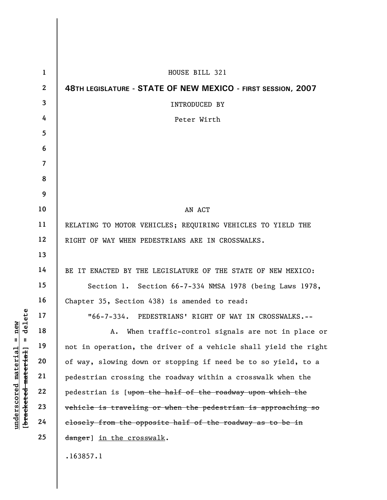| $\mathbf{1}$             | HOUSE BILL 321                                                  |
|--------------------------|-----------------------------------------------------------------|
| $\mathbf{2}$             | 48TH LEGISLATURE - STATE OF NEW MEXICO - FIRST SESSION, 2007    |
| 3                        | <b>INTRODUCED BY</b>                                            |
| 4                        | Peter Wirth                                                     |
| 5                        |                                                                 |
| 6                        |                                                                 |
| $\overline{\mathcal{L}}$ |                                                                 |
| 8                        |                                                                 |
| 9                        |                                                                 |
| 10                       | AN ACT                                                          |
| 11                       | RELATING TO MOTOR VEHICLES; REQUIRING VEHICLES TO YIELD THE     |
| 12                       | RIGHT OF WAY WHEN PEDESTRIANS ARE IN CROSSWALKS.                |
| 13                       |                                                                 |
| 14                       | BE IT ENACTED BY THE LEGISLATURE OF THE STATE OF NEW MEXICO:    |
| 15                       | Section 1. Section 66-7-334 NMSA 1978 (being Laws 1978,         |
| 16                       | Chapter 35, Section 438) is amended to read:                    |
| 17                       | "66-7-334. PEDESTRIANS' RIGHT OF WAY IN CROSSWALKS.--           |
| 18                       | A. When traffic-control signals are not in place or             |
| 19                       | not in operation, the driver of a vehicle shall yield the right |
| 20                       | of way, slowing down or stopping if need be to so yield, to a   |
| 21                       | pedestrian crossing the roadway within a crosswalk when the     |
| 22                       | pedestrian is [upon the half of the roadway upon which the      |
| 23                       | vehicle is traveling or when the pedestrian is approaching so   |
| 24                       | closely from the opposite half of the roadway as to be in       |
| 25                       | danger] in the crosswalk.                                       |
|                          | .163857.1                                                       |

**underscored material = new [bracketed material] = delete**

 $[$ bracketed material] = delete  $underscored material = new$